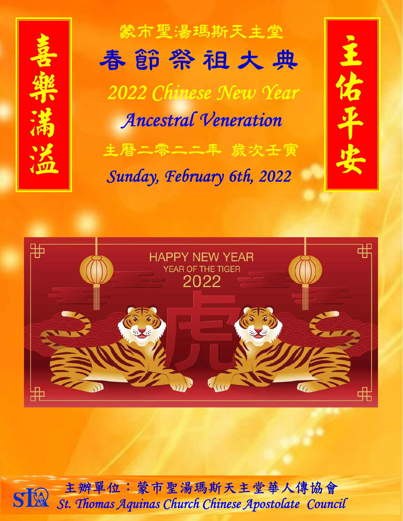

蒙市聖湯瑪斯天主堂 主曆二零二二年 歲次壬寅 *2022 Chinese New Year Ancestral Veneration* 春 節 祭 祖 大 典

*Sunday, February 6th, 2022* 





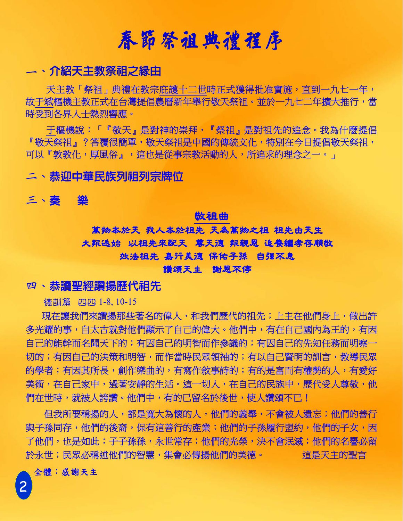# 春節祭祖典禮程序

## **— 、介紹天主教祭祖之縁由**

天主教「祭祖」典禮在教宗庇護十二世時正式獲得批准實施,直到一九七一年, 故于斌樞機主教正式在台灣提倡農曆新年舉行敬天祭祖。並於一九七二年擴大推行,當 時受到各界人士熱烈響應。

于樞機說:「『敬天』是對神的崇拜,『祭祖』是對祖先的追念。我為什麼提倡 『 敬天祭祖』? 答覆很簡單, 敬天祭祖是中國的傳統文化, 特別在今日提倡敬天祭祖, 可以『敦教化,厚風俗』,這也是從事宗教活動的人,所追求的理念之一。」

二、恭迎中華民族列祖列宗牌位

三、奏 樂

#### 敬祖曲

# 萬物本於天我人本於祖先天為萬物之祖祖先由天生 大報返始 以祖先來配天 尊天德報親恩追養繼孝存順敬 效法祖先嘉行美德保佑子孫 自強不息

#### 讚頌天主謝恩不停

## 四、恭讀聖經讚揚歷代祖先

德訓篇 四四 1-8, 10-15

現在讓我們來讚揚那些著名的偉人,和我們歷代的祖先;上主在他們身上,做出許 多光耀的事,自太古就對他們顯示了自己的偉大。他們中,有在自己國內為王的,有因 自己的能幹而名聞天下的;有因自己的明智而作參議的;有因自己的先知任務而明察一 切的;有因自己的決策和明智,而作當時民眾領袖的;有以自己賢明的訓言,教導民眾 的學者;有因其所長,創作樂曲的,有寫作敘事詩的;有的是富而有權勢的人,有愛好 美術,在自己家中,過著安靜的生活。這一切人,在自己的民族中,歷代受人尊敬,他 們在世時,就被人誇讚。他們中,有的已留名於後世,使人讚頌不已!

但我所要稱揚的人,都是寬大為懷的人,他們的義舉,不會被人遺忘;他們的善行 與子孫同存,他們的後裔,保有這善行的產業;他們的子孫履行盟約,他們的子女,因 了他們,也是如此;子子孫孫,永世常存;他們的光榮,決不會泯滅;他們的名譽必留 於永世;民眾必稱述他們的智慧,集會必傳揚他們的美德。<br>

### 全體:感謝天主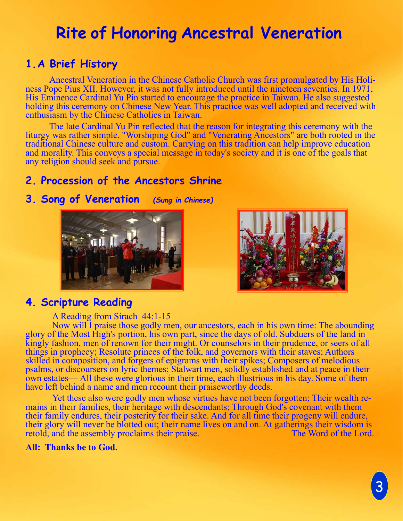# **Rite of Honoring Ancestral Veneration**

# **1. A Brief History**

Ancestral Veneration in the Chinese Catholic Church was first promulgated by His Holiness Pope Pius XII. However, it was not fully introduced until the nineteen seventies. In 1971, His Eminence Cardinal Yu Pin started to encourage the practice in Taiwan. He also suggested holding this ceremony on Chinese New Year. This practice was well adopted and received with enthusiasm by the Chinese Catholics in Taiwan.

 The late Cardinal Yu Pin reflected that the reason for integrating this ceremony with the liturgy was rather simple. "Worshiping God" and "Venerating Ancestors" are both rooted in the traditional Chinese culture and custom. Carrying on this tradition can help improve education and morality. This conveys a special message in today's society and it is one of the goals that any religion should seek and pursue.

## **2. Procession of the Ancestors Shrine**

### **3. Song of Veneration** *(Sung in Chinese)*





## **4. Scripture Reading**

#### A Reading from Sirach 44:1-15

Now will I praise those godly men, our ancestors, each in his own time: The abounding glory of the Most High's portion, his own part, since the days of old. Subduers of the land in kingly fashion, men of renown for their might. Or counselors in their prudence, or seers of all things in prophecy; Resolute princes of the folk, and governors with their staves; Authors skilled in composition, and forgers of epigrams with their spikes; Composers of melodious psalms, or discoursers on lyric themes; Stalwart men, solidly established and at peace in their own estates— All these were glorious in their time, each illustrious in his day. Some of them have left behind a name and men recount their praiseworthy deeds.

Yet these also were godly men whose virtues have not been forgotten; Their wealth remains in their families, their heritage with descendants; Through God's covenant with them their family endures, their posterity for their sake. And for all time their progeny will endure, their glory will never be blotted out; their name lives on and on. At gatherings their wisdom is retold, and the assembly proclaims their praise. retold, and the assembly proclaims their praise.

#### **All: Thanks be to God.**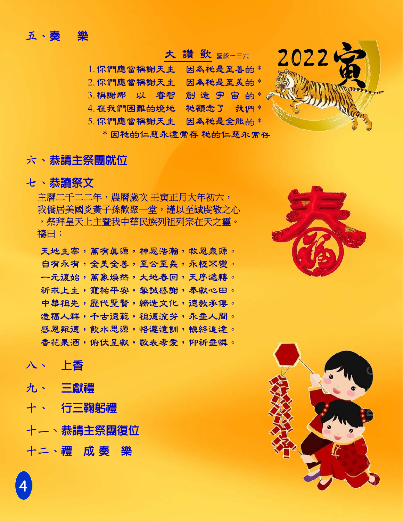## 五、奏 樂

## 大 讚 歌 <sub>聖詠一三六</sub>

- 1. 你們應當稱謝天主 因為祂是至善的 \*
- 2. 你們應當稱謝天主 因為祂是至美的 \*
- $3.$  稱謝那 以 睿智 創 造 宇 宙 的  $*$
- 4. 在我們困難的境地 祂顧念了 我們 \*
- 5. 你們應當稱謝天主 因為祂是全能的 \*

\* 因祂的仁慈永遠常存 祂的仁慈永常存

## 六、恭請主祭團就位

## 七、恭讀祭文

主曆二千二二年,農曆歲次 壬寅正月大年初六, 我僑居美國炎黃子孫歡聚一堂,謹以至誠虔敬之心 ,祭拜皇天上主暨我中華民族列祖列宗在天之靈。 禱曰:

天地主宰,萬有真源,神恩浩瀚,救恩泉源。 自有永有,全美全善,至公至義,永恆不變。 一元復始,萬象煥然,大地春回,天序遞轉。 祈求上主,寵祐平安,摯誠感謝,奉獻心田。 中華祖先,歷代聖賢,締造文化,德教承傳。 造福人群,千古德範,祖德流芳,永垂人間。 感恩報德,飲水思源,恪遵遺訓,慎終追遠。 香花果酒,俯伏呈獻,敬表孝愛,仰祈垂憐。

## 八、 上香

## 九、 三獻禮

- 十、 行三鞠躬禮
- 十一、恭請主祭團復位
- 十二、禮 成 奏 樂



2022

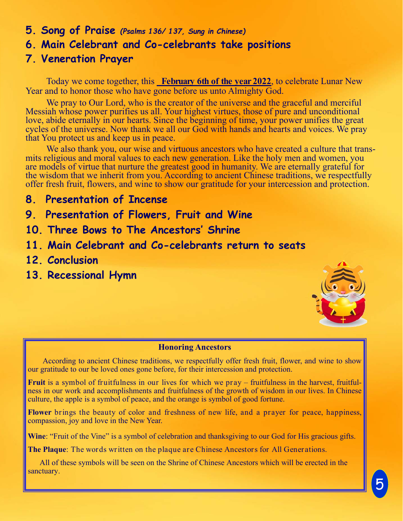- **5. Song of Praise** *(Psalms 136/ 137, Sung in Chinese)*
- **6. Main Celebrant and Co-celebrants take positions**

## **7. Veneration Prayer**

Today we come together, this **February 6th of the year 2022**, to celebrate Lunar New Year and to honor those who have gone before us unto Almighty God.

We pray to Our Lord, who is the creator of the universe and the graceful and merciful Messiah whose power purifies us all. Your highest virtues, those of pure and unconditional love, abide eternally in our hearts. Since the beginning of time, your power unifies the great cycles of the universe. Now thank we all our God with hands and hearts and voices. We pray that You protect us and keep us in peace.

We also thank you, our wise and virtuous ancestors who have created a culture that transmits religious and moral values to each new generation. Like the holy men and women, you are models of virtue that nurture the greatest good in humanity. We are eternally grateful for the wisdom that we inherit from you. According to ancient Chinese traditions, we respectfully offer fresh fruit, flowers, and wine to show our gratitude for your intercession and protection.

- **8. Presentation of Incense**
- **9. Presentation of Flowers, Fruit and Wine**
- **10. Three Bows to The Ancestors' Shrine**
- **11. Main Celebrant and Co-celebrants return to seats**
- **12. Conclusion**
- **13. Recessional Hymn**



#### **Honoring Ancestors**

According to ancient Chinese traditions, we respectfully offer fresh fruit, flower, and wine to show our gratitude to our be loved ones gone before, for their intercession and protection.

**Fruit** is a symbol of fruitfulness in our lives for which we pray – fruitfulness in the harvest, fruitfulness in our work and accomplishments and fruitfulness of the growth of wisdom in our lives. In Chinese culture, the apple is a symbol of peace, and the orange is symbol of good fortune.

**Flower** brings the beauty of color and freshness of new life, and a prayer for peace, happiness, compassion, joy and love in the New Year.

Wine: "Fruit of the Vine" is a symbol of celebration and thanksgiving to our God for His gracious gifts.

**The Plaque**: The words written on the plaque are Chinese Ancestors for All Generations.

 All of these symbols will be seen on the Shrine of Chinese Ancestors which will be erected in the sanctuary.